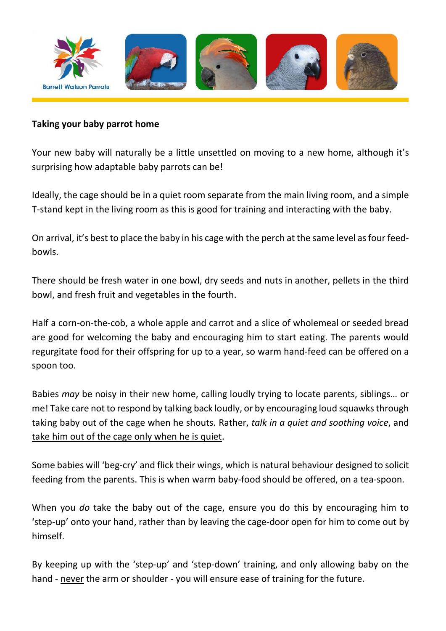

#### **Taking your baby parrot home**

Your new baby will naturally be a little unsettled on moving to a new home, although it's surprising how adaptable baby parrots can be!

Ideally, the cage should be in a quiet room separate from the main living room, and a simple T-stand kept in the living room as this is good for training and interacting with the baby.

On arrival, it's best to place the baby in his cage with the perch at the same level as four feedbowls.

There should be fresh water in one bowl, dry seeds and nuts in another, pellets in the third bowl, and fresh fruit and vegetables in the fourth.

Half a corn-on-the-cob, a whole apple and carrot and a slice of wholemeal or seeded bread are good for welcoming the baby and encouraging him to start eating. The parents would regurgitate food for their offspring for up to a year, so warm hand-feed can be offered on a spoon too.

Babies *may* be noisy in their new home, calling loudly trying to locate parents, siblings… or me! Take care not to respond by talking back loudly, or by encouraging loud squawks through taking baby out of the cage when he shouts. Rather, *talk in a quiet and soothing voice*, and take him out of the cage only when he is quiet.

Some babies will 'beg-cry' and flick their wings, which is natural behaviour designed to solicit feeding from the parents. This is when warm baby-food should be offered, on a tea-spoon.

When you *do* take the baby out of the cage, ensure you do this by encouraging him to 'step-up' onto your hand, rather than by leaving the cage-door open for him to come out by himself.

By keeping up with the 'step-up' and 'step-down' training, and only allowing baby on the hand - never the arm or shoulder - you will ensure ease of training for the future.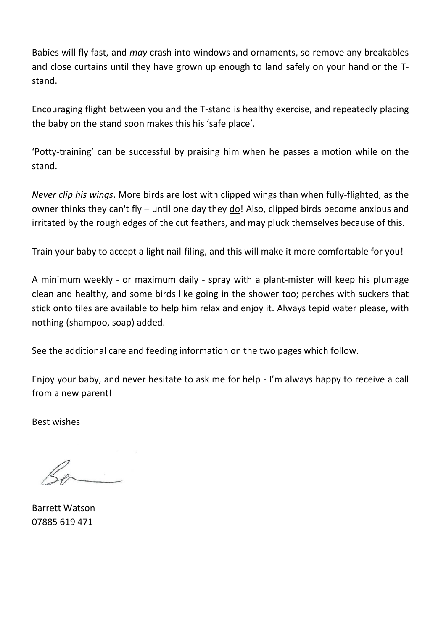Babies will fly fast, and *may* crash into windows and ornaments, so remove any breakables and close curtains until they have grown up enough to land safely on your hand or the Tstand.

Encouraging flight between you and the T-stand is healthy exercise, and repeatedly placing the baby on the stand soon makes this his 'safe place'.

'Potty-training' can be successful by praising him when he passes a motion while on the stand.

*Never clip his wings*. More birds are lost with clipped wings than when fully-flighted, as the owner thinks they can't fly – until one day they do! Also, clipped birds become anxious and irritated by the rough edges of the cut feathers, and may pluck themselves because of this.

Train your baby to accept a light nail-filing, and this will make it more comfortable for you!

A minimum weekly - or maximum daily - spray with a plant-mister will keep his plumage clean and healthy, and some birds like going in the shower too; perches with suckers that stick onto tiles are available to help him relax and enjoy it. Always tepid water please, with nothing (shampoo, soap) added.

See the additional care and feeding information on the two pages which follow.

Enjoy your baby, and never hesitate to ask me for help - I'm always happy to receive a call from a new parent!

Best wishes

Barrett Watson 07885 619 471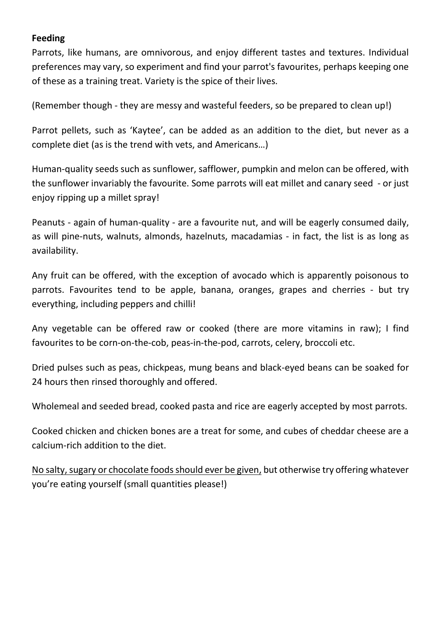## **Feeding**

Parrots, like humans, are omnivorous, and enjoy different tastes and textures. Individual preferences may vary, so experiment and find your parrot's favourites, perhaps keeping one of these as a training treat. Variety is the spice of their lives.

(Remember though - they are messy and wasteful feeders, so be prepared to clean up!)

Parrot pellets, such as 'Kaytee', can be added as an addition to the diet, but never as a complete diet (as is the trend with vets, and Americans…)

Human-quality seeds such as sunflower, safflower, pumpkin and melon can be offered, with the sunflower invariably the favourite. Some parrots will eat millet and canary seed - or just enjoy ripping up a millet spray!

Peanuts - again of human-quality - are a favourite nut, and will be eagerly consumed daily, as will pine-nuts, walnuts, almonds, hazelnuts, macadamias - in fact, the list is as long as availability.

Any fruit can be offered, with the exception of avocado which is apparently poisonous to parrots. Favourites tend to be apple, banana, oranges, grapes and cherries - but try everything, including peppers and chilli!

Any vegetable can be offered raw or cooked (there are more vitamins in raw); I find favourites to be corn-on-the-cob, peas-in-the-pod, carrots, celery, broccoli etc.

Dried pulses such as peas, chickpeas, mung beans and black-eyed beans can be soaked for 24 hours then rinsed thoroughly and offered.

Wholemeal and seeded bread, cooked pasta and rice are eagerly accepted by most parrots.

Cooked chicken and chicken bones are a treat for some, and cubes of cheddar cheese are a calcium-rich addition to the diet.

No salty, sugary or chocolate foods should ever be given, but otherwise try offering whatever you're eating yourself (small quantities please!)